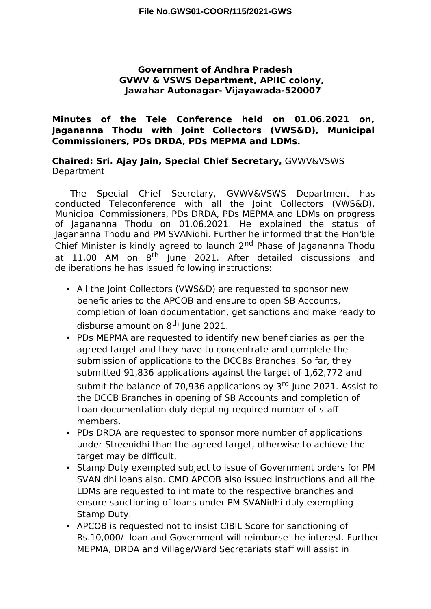#### **Government of Andhra Pradesh GVWV & VSWS Department, APIIC colony, Jawahar Autonagar- Vijayawada-520007**

### **Minutes of the Tele Conference held on 01.06.2021 on, Jagananna Thodu with Joint Collectors (VWS&D), Municipal Commissioners, PDs DRDA, PDs MEPMA and LDMs.**

**Chaired: Sri. Ajay Jain, Special Chief Secretary,** GVWV&VSWS Department

The Special Chief Secretary, GVWV&VSWS Department has conducted Teleconference with all the Joint Collectors (VWS&D), Municipal Commissioners, PDs DRDA, PDs MEPMA and LDMs on progress of Jagananna Thodu on 01.06.2021. He explained the status of Jagananna Thodu and PM SVANidhi. Further he informed that the Hon'ble Chief Minister is kindly agreed to launch 2<sup>nd</sup> Phase of Jagananna Thodu at 11.00 AM on 8<sup>th</sup> June 2021. After detailed discussions and deliberations he has issued following instructions:

- All the Joint Collectors (VWS&D) are requested to sponsor new beneficiaries to the APCOB and ensure to open SB Accounts, completion of loan documentation, get sanctions and make ready to disburse amount on 8<sup>th</sup> June 2021.
- PDs MEPMA are requested to identify new beneficiaries as per the agreed target and they have to concentrate and complete the submission of applications to the DCCBs Branches. So far, they submitted 91,836 applications against the target of 1,62,772 and submit the balance of 70,936 applications by 3<sup>rd</sup> June 2021. Assist to the DCCB Branches in opening of SB Accounts and completion of Loan documentation duly deputing required number of staf members.
- PDs DRDA are requested to sponsor more number of applications under Streenidhi than the agreed target, otherwise to achieve the target may be difficult.
- Stamp Duty exempted subject to issue of Government orders for PM SVANidhi loans also. CMD APCOB also issued instructions and all the LDMs are requested to intimate to the respective branches and ensure sanctioning of loans under PM SVANidhi duly exempting Stamp Duty.
- APCOB is requested not to insist CIBIL Score for sanctioning of Rs.10,000/- loan and Government will reimburse the interest. Further MEPMA, DRDA and Village/Ward Secretariats staff will assist in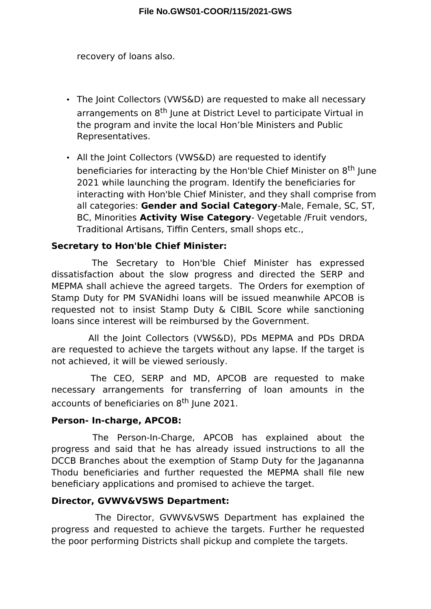recovery of loans also.

- The Joint Collectors (VWS&D) are requested to make all necessary arrangements on 8<sup>th</sup> June at District Level to participate Virtual in the program and invite the local Hon'ble Ministers and Public Representatives.
- All the Joint Collectors (VWS&D) are requested to identify beneficiaries for interacting by the Hon'ble Chief Minister on 8<sup>th</sup> June 2021 while launching the program. Identify the beneficiaries for interacting with Hon'ble Chief Minister, and they shall comprise from all categories: **Gender and Social Category**-Male, Female, SC, ST, BC, Minorities **Activity Wise Category**- Vegetable /Fruit vendors, Traditional Artisans, Tiffin Centers, small shops etc.,

# **Secretary to Hon'ble Chief Minister:**

The Secretary to Hon'ble Chief Minister has expressed dissatisfaction about the slow progress and directed the SERP and MEPMA shall achieve the agreed targets. The Orders for exemption of Stamp Duty for PM SVANidhi loans will be issued meanwhile APCOB is requested not to insist Stamp Duty & CIBIL Score while sanctioning loans since interest will be reimbursed by the Government.

All the Joint Collectors (VWS&D), PDs MEPMA and PDs DRDA are requested to achieve the targets without any lapse. If the target is not achieved, it will be viewed seriously.

The CEO, SERP and MD, APCOB are requested to make necessary arrangements for transferring of loan amounts in the accounts of beneficiaries on 8<sup>th</sup> June 2021.

# **Person- In-charge, APCOB:**

The Person-In-Charge, APCOB has explained about the progress and said that he has already issued instructions to all the DCCB Branches about the exemption of Stamp Duty for the Jagananna Thodu beneficiaries and further requested the MEPMA shall file new beneficiary applications and promised to achieve the target.

# **Director, GVWV&VSWS Department:**

The Director, GVWV&VSWS Department has explained the progress and requested to achieve the targets. Further he requested the poor performing Districts shall pickup and complete the targets.